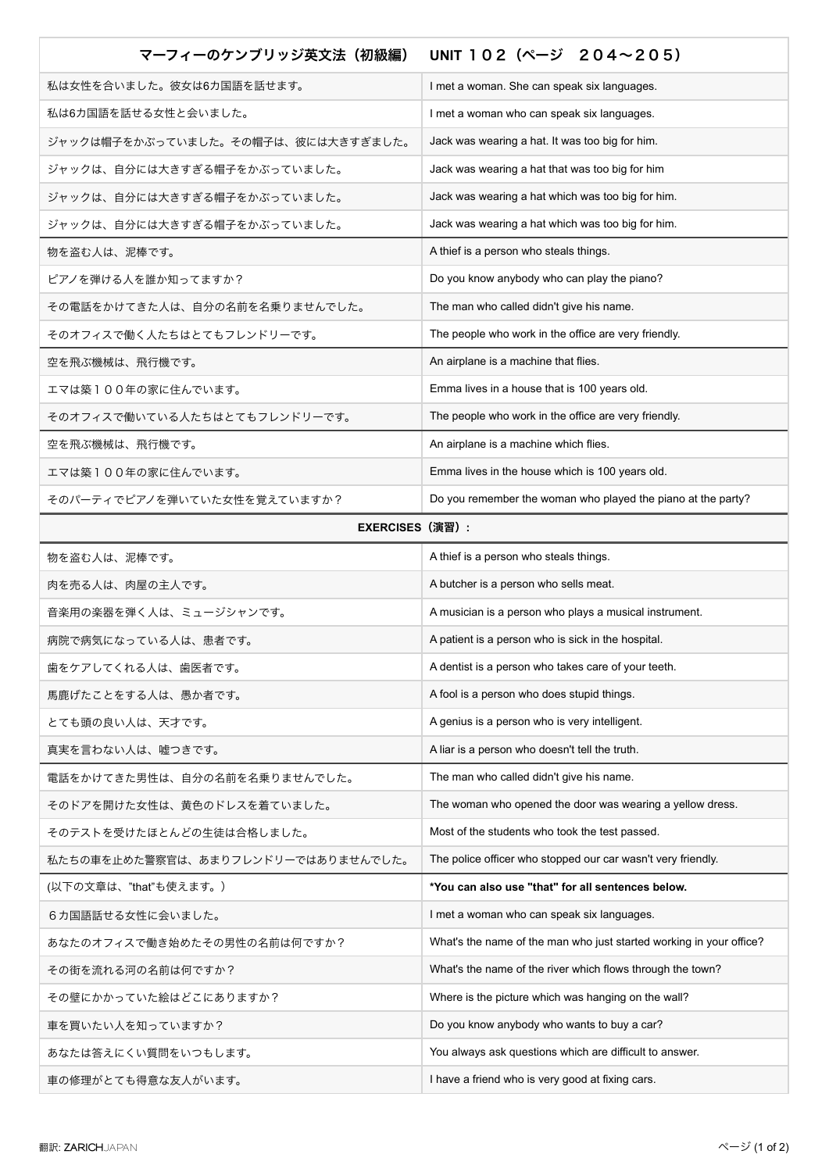| マーフィーのケンブリッジ英文法(初級編)               | UNIT 102 (ページ 204~205)                                              |
|------------------------------------|---------------------------------------------------------------------|
| 私は女性を合いました。彼女は6カ国語を話せます。           | I met a woman. She can speak six languages.                         |
| 私は6カ国語を話せる女性と会いました。                | I met a woman who can speak six languages.                          |
| ジャックは帽子をかぶっていました。その帽子は、彼には大きすぎました。 | Jack was wearing a hat. It was too big for him.                     |
| ジャックは、自分には大きすぎる帽子をかぶっていました。        | Jack was wearing a hat that was too big for him                     |
| ジャックは、自分には大きすぎる帽子をかぶっていました。        | Jack was wearing a hat which was too big for him.                   |
| ジャックは、自分には大きすぎる帽子をかぶっていました。        | Jack was wearing a hat which was too big for him.                   |
| 物を盗む人は、泥棒です。                       | A thief is a person who steals things.                              |
| ピアノを弾ける人を誰か知ってますか?                 | Do you know anybody who can play the piano?                         |
| その電話をかけてきた人は、自分の名前を名乗りませんでした。      | The man who called didn't give his name.                            |
| そのオフィスで働く人たちはとてもフレンドリーです。          | The people who work in the office are very friendly.                |
| 空を飛ぶ機械は、飛行機です。                     | An airplane is a machine that flies.                                |
| エマは築100年の家に住んでいます。                 | Emma lives in a house that is 100 years old.                        |
| そのオフィスで働いている人たちはとてもフレンドリーです。       | The people who work in the office are very friendly.                |
| 空を飛ぶ機械は、飛行機です。                     | An airplane is a machine which flies.                               |
| エマは築100年の家に住んでいます。                 | Emma lives in the house which is 100 years old.                     |
| そのパーティでピアノを弾いていた女性を覚えていますか?        | Do you remember the woman who played the piano at the party?        |
| <b>EXERCISES (演習):</b>             |                                                                     |
| 物を盗む人は、泥棒です。                       | A thief is a person who steals things.                              |
| 肉を売る人は、肉屋の主人です。                    | A butcher is a person who sells meat.                               |
| 音楽用の楽器を弾く人は、ミュージシャンです。             | A musician is a person who plays a musical instrument.              |
| 病院で病気になっている人は、患者です。                | A patient is a person who is sick in the hospital.                  |
| 歯をケアしてくれる人は、歯医者です。                 | A dentist is a person who takes care of your teeth.                 |
| 馬鹿げたことをする人は、愚か者です。                 | A fool is a person who does stupid things.                          |
| とても頭の良い人は、天才です。                    | A genius is a person who is very intelligent.                       |
| 真実を言わない人は、嘘つきです。                   | A liar is a person who doesn't tell the truth.                      |
| 電話をかけてきた男性は、自分の名前を名乗りませんでした。       | The man who called didn't give his name.                            |
| そのドアを開けた女性は、黄色のドレスを着ていました。         | The woman who opened the door was wearing a yellow dress.           |
| そのテストを受けたほとんどの生徒は合格しました。           | Most of the students who took the test passed.                      |
| 私たちの車を止めた警察官は、あまりフレンドリーではありませんでした。 | The police officer who stopped our car wasn't very friendly.        |
| (以下の文章は、"that"も使えます。)              | *You can also use "that" for all sentences below.                   |
| 6カ国語話せる女性に会いました。                   | I met a woman who can speak six languages.                          |
| あなたのオフィスで働き始めたその男性の名前は何ですか?        | What's the name of the man who just started working in your office? |
| その街を流れる河の名前は何ですか?                  | What's the name of the river which flows through the town?          |
| その壁にかかっていた絵はどこにありますか?              | Where is the picture which was hanging on the wall?                 |
| 車を買いたい人を知っていますか?                   | Do you know anybody who wants to buy a car?                         |
| あなたは答えにくい質問をいつもします。                | You always ask questions which are difficult to answer.             |
| 車の修理がとても得意な友人がいます。                 | I have a friend who is very good at fixing cars.                    |